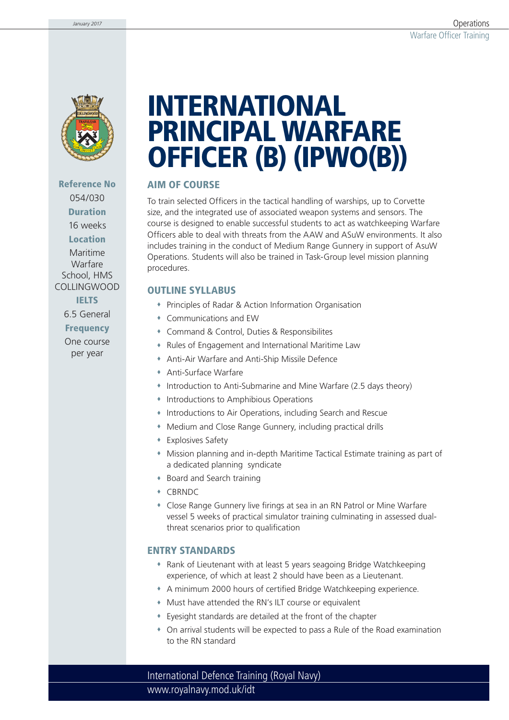

# **Reference No** 054/030 **Duration** 16 weeks **Location** Maritime Warfare School, HMS

COLLINGWOOD **IELTS**

6.5 General

**Frequency**

One course per year

# **INTERNATIONAL PRINCIPAL WARFARE OFFICER (B) (IPWO(B))**

## **AIM OF COURSE**

To train selected Officers in the tactical handling of warships, up to Corvette size, and the integrated use of associated weapon systems and sensors. The course is designed to enable successful students to act as watchkeeping Warfare Officers able to deal with threats from the AAW and ASuW environments. It also includes training in the conduct of Medium Range Gunnery in support of AsuW Operations. Students will also be trained in Task-Group level mission planning procedures.

## **OUTLINE SYLLABUS**

- Principles of Radar & Action Information Organisation
- Communications and EW
- Command & Control, Duties & Responsibilites
- Rules of Engagement and International Maritime Law
- Anti-Air Warfare and Anti-Ship Missile Defence
- Anti-Surface Warfare
- Introduction to Anti-Submarine and Mine Warfare (2.5 days theory)
- **Introductions to Amphibious Operations**
- Introductions to Air Operations, including Search and Rescue
- Medium and Close Range Gunnery, including practical drills
- Explosives Safety
- Mission planning and in-depth Maritime Tactical Estimate training as part of a dedicated planning syndicate
- Board and Search training
- CBRNDC
- Close Range Gunnery live firings at sea in an RN Patrol or Mine Warfare vessel 5 weeks of practical simulator training culminating in assessed dualthreat scenarios prior to qualification

## **ENTRY STANDARDS**

- Rank of Lieutenant with at least 5 years seagoing Bridge Watchkeeping experience, of which at least 2 should have been as a Lieutenant.
- A minimum 2000 hours of certified Bridge Watchkeeping experience.
- Must have attended the RN's ILT course or equivalent
- Eyesight standards are detailed at the front of the chapter
- On arrival students will be expected to pass a Rule of the Road examination to the RN standard

www.royalnavy.mod.uk/idt International Defence Training (Royal Navy)